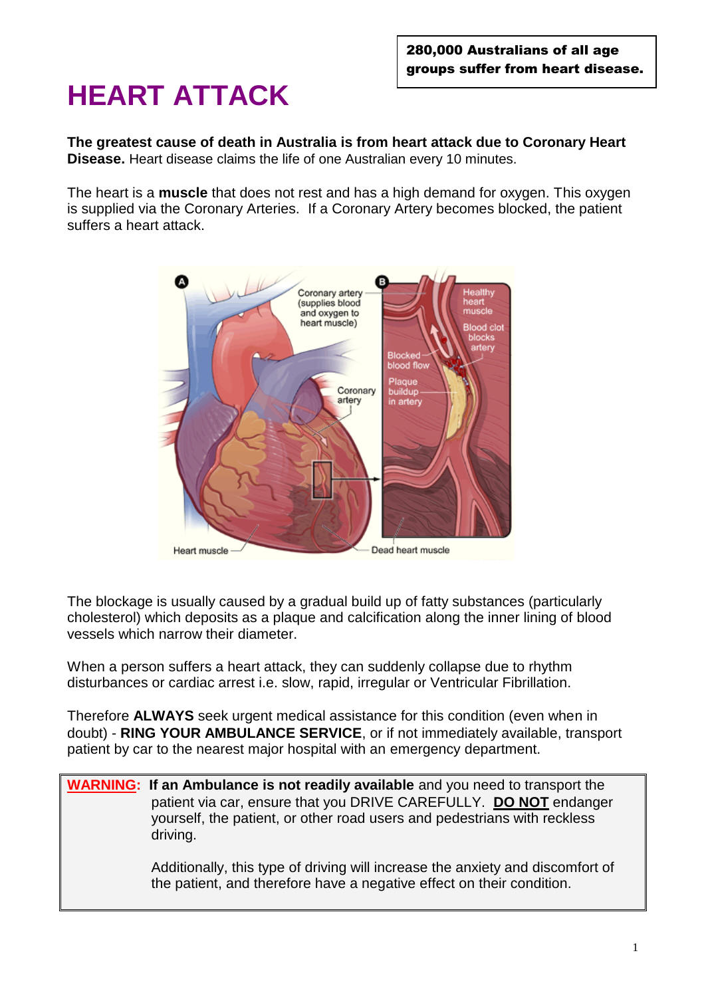# **HEART ATTACK**

**The greatest cause of death in Australia is from heart attack due to Coronary Heart Disease.** Heart disease claims the life of one Australian every 10 minutes.

The heart is a **muscle** that does not rest and has a high demand for oxygen. This oxygen is supplied via the Coronary Arteries. If a Coronary Artery becomes blocked, the patient suffers a heart attack.



The blockage is usually caused by a gradual build up of fatty substances (particularly cholesterol) which deposits as a plaque and calcification along the inner lining of blood vessels which narrow their diameter.

When a person suffers a heart attack, they can suddenly collapse due to rhythm disturbances or cardiac arrest i.e. slow, rapid, irregular or Ventricular Fibrillation.

Therefore **ALWAYS** seek urgent medical assistance for this condition (even when in doubt) - **RING YOUR AMBULANCE SERVICE**, or if not immediately available, transport patient by car to the nearest major hospital with an emergency department.

**WARNING: If an Ambulance is not readily available** and you need to transport the patient via car, ensure that you DRIVE CAREFULLY. **DO NOT** endanger yourself, the patient, or other road users and pedestrians with reckless driving.

> Additionally, this type of driving will increase the anxiety and discomfort of the patient, and therefore have a negative effect on their condition.